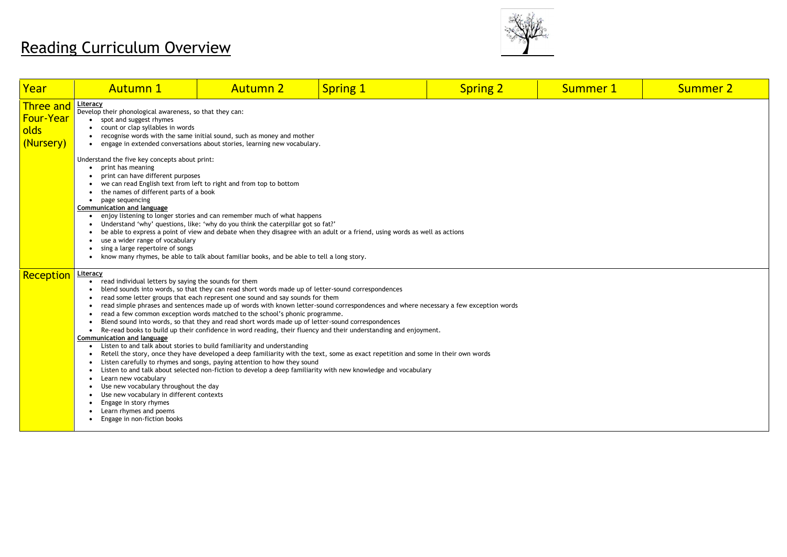# Reading Curriculum Overview



| Year                                                      | <b>Autumn 1</b>                                                                                                                                                                                                                                                                                                                                                                                                                    | <b>Autumn 2</b>                                                                                                                                                                                                                                                                                                                                                                                                                                                                                                                                                                                                                                                                                                                                                                                                                                                                                          | <b>Spring 1</b> | <b>Spring 2</b>                                                                                                                      | <b>Summer 1</b> | <b>Summer 2</b> |  |  |  |
|-----------------------------------------------------------|------------------------------------------------------------------------------------------------------------------------------------------------------------------------------------------------------------------------------------------------------------------------------------------------------------------------------------------------------------------------------------------------------------------------------------|----------------------------------------------------------------------------------------------------------------------------------------------------------------------------------------------------------------------------------------------------------------------------------------------------------------------------------------------------------------------------------------------------------------------------------------------------------------------------------------------------------------------------------------------------------------------------------------------------------------------------------------------------------------------------------------------------------------------------------------------------------------------------------------------------------------------------------------------------------------------------------------------------------|-----------------|--------------------------------------------------------------------------------------------------------------------------------------|-----------------|-----------------|--|--|--|
| <b>Three and</b><br><b>Four-Year</b><br>olds<br>(Nursery) | <u>Literacy</u><br>Develop their phonological awareness, so that they can:<br>spot and suggest rhymes<br>count or clap syllables in words<br>recognise words with the same initial sound, such as money and mother<br>engage in extended conversations about stories, learning new vocabulary.<br>$\bullet$                                                                                                                        |                                                                                                                                                                                                                                                                                                                                                                                                                                                                                                                                                                                                                                                                                                                                                                                                                                                                                                          |                 |                                                                                                                                      |                 |                 |  |  |  |
|                                                           | Understand the five key concepts about print:<br>print has meaning<br>print can have different purposes<br>the names of different parts of a book<br>page sequencing<br>$\bullet$<br><b>Communication and language</b><br>$\bullet$<br>use a wider range of vocabulary<br>sing a large repertoire of songs<br>$\bullet$<br>$\bullet$                                                                                               | we can read English text from left to right and from top to bottom<br>enjoy listening to longer stories and can remember much of what happens<br>Understand 'why' questions, like: 'why do you think the caterpillar got so fat?'<br>be able to express a point of view and debate when they disagree with an adult or a friend, using words as well as actions<br>know many rhymes, be able to talk about familiar books, and be able to tell a long story.                                                                                                                                                                                                                                                                                                                                                                                                                                             |                 |                                                                                                                                      |                 |                 |  |  |  |
| <b>Reception</b>                                          | <u>Literacy</u><br>read individual letters by saying the sounds for them<br>$\bullet$<br><b>Communication and language</b><br>$\bullet$<br>$\bullet$<br>Learn new vocabulary<br>$\bullet$<br>Use new vocabulary throughout the day<br>$\bullet$<br>Use new vocabulary in different contexts<br>$\bullet$<br>Engage in story rhymes<br>$\bullet$<br>Learn rhymes and poems<br>$\bullet$<br>Engage in non-fiction books<br>$\bullet$ | blend sounds into words, so that they can read short words made up of letter-sound correspondences<br>read some letter groups that each represent one sound and say sounds for them<br>read a few common exception words matched to the school's phonic programme.<br>Blend sound into words, so that they and read short words made up of letter-sound correspondences<br>Re-read books to build up their confidence in word reading, their fluency and their understanding and enjoyment.<br>Listen to and talk about stories to build familiarity and understanding<br>Retell the story, once they have developed a deep familiarity with the text, some as exact repetition and some in their own words<br>Listen carefully to rhymes and songs, paying attention to how they sound<br>Listen to and talk about selected non-fiction to develop a deep familiarity with new knowledge and vocabulary |                 | read simple phrases and sentences made up of words with known letter-sound correspondences and where necessary a few exception words |                 |                 |  |  |  |

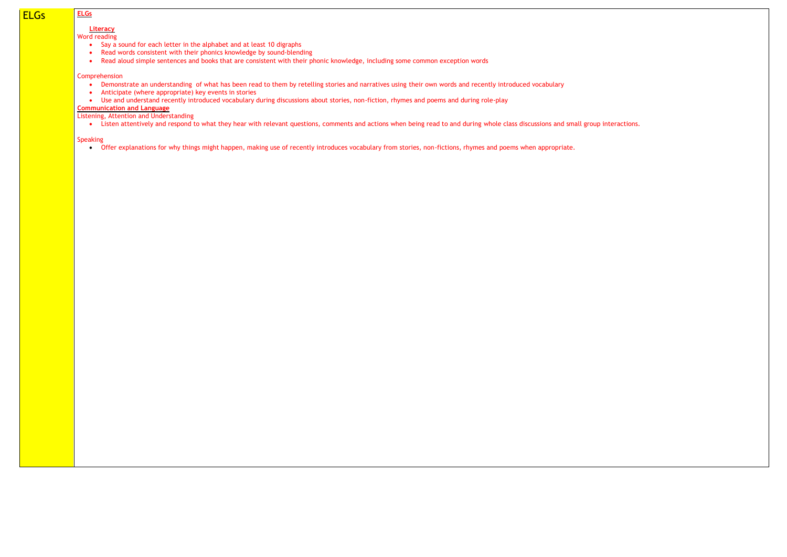# ELGs **ELGs**

### **Literacy**

Word reading

- Say a sound for each letter in the alphabet and at least 10 digraphs
- Read words consistent with their phonics knowledge by sound-blending
- Read aloud simple sentences and books that are consistent with their phonic knowledge, including some common exception words

- Demonstrate an understanding of what has been read to them by retelling stories and narratives using their own words and recently introduced vocabulary
- Anticipate (where appropriate) key events in stories
- Use and understand recently introduced vocabulary during discussions about stories, non-fiction, rhymes and poems and during role-play

#### Comprehension

## **Communication and Language**

Listening, Attention and Understanding

• Listen attentively and respond to what they hear with relevant questions, comments and actions when being read to and during whole class discussions and small group interactions.

#### Speaking

• Offer explanations for why things might happen, making use of recently introduces vocabulary from stories, non-fictions, rhymes and poems when appropriate.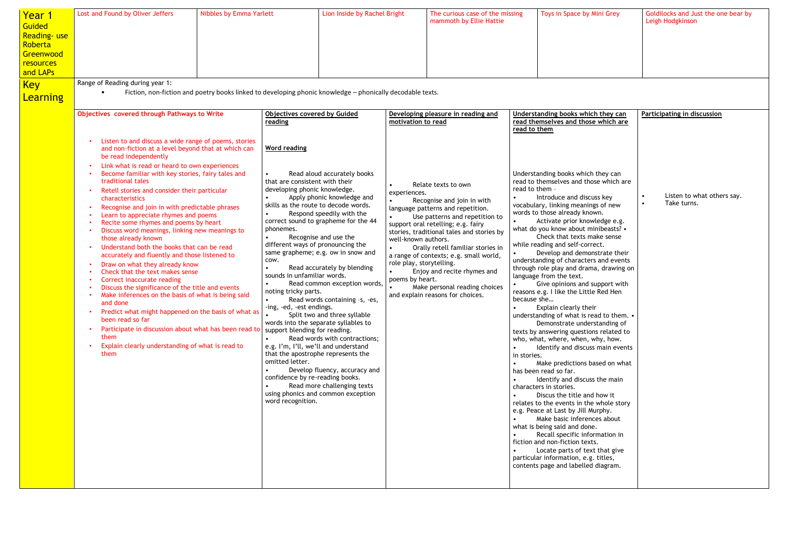| <u>Year 1</u><br><b>Guided</b><br><b>Reading-use</b><br>Roberta<br>Greenwood<br>resources<br>and LAPs<br><u>Key</u><br><b>Learning</b> | Lost and Found by Oliver Jeffers<br>Range of Reading during year 1:                                                                                                                                                                                                                                                                                                                                                                                                                                                                                                                                                                                                                                                                                                                                                                                                                                                                                                                                                                                                            | <b>Nibbles by Emma Yarlett</b> | Lion Inside by Rachel Bright<br>Fiction, non-fiction and poetry books linked to developing phonic knowledge - phonically decodable texts.                                                                                                                                                                                                                                                                                                                                                                                                                                                                                                                                                                                                                                                                                                                                                                                                                                     | The curious case of the missing<br>mammoth by Ellie Hattie                                                                                                                                                                                                                                                                                                                                                                                                                           | Toys in Space by Mini Grey                                                                                                                                                                                                                                                                                                                                                                                                                                                                                                                                                                                                                                                                                                                                                                                                                                                                                                                                                                                                                                                                                                                                                                                                                                                                                                    | Goldilocks and Just the one bear by<br>Leigh Hodgkinson |
|----------------------------------------------------------------------------------------------------------------------------------------|--------------------------------------------------------------------------------------------------------------------------------------------------------------------------------------------------------------------------------------------------------------------------------------------------------------------------------------------------------------------------------------------------------------------------------------------------------------------------------------------------------------------------------------------------------------------------------------------------------------------------------------------------------------------------------------------------------------------------------------------------------------------------------------------------------------------------------------------------------------------------------------------------------------------------------------------------------------------------------------------------------------------------------------------------------------------------------|--------------------------------|-------------------------------------------------------------------------------------------------------------------------------------------------------------------------------------------------------------------------------------------------------------------------------------------------------------------------------------------------------------------------------------------------------------------------------------------------------------------------------------------------------------------------------------------------------------------------------------------------------------------------------------------------------------------------------------------------------------------------------------------------------------------------------------------------------------------------------------------------------------------------------------------------------------------------------------------------------------------------------|--------------------------------------------------------------------------------------------------------------------------------------------------------------------------------------------------------------------------------------------------------------------------------------------------------------------------------------------------------------------------------------------------------------------------------------------------------------------------------------|-------------------------------------------------------------------------------------------------------------------------------------------------------------------------------------------------------------------------------------------------------------------------------------------------------------------------------------------------------------------------------------------------------------------------------------------------------------------------------------------------------------------------------------------------------------------------------------------------------------------------------------------------------------------------------------------------------------------------------------------------------------------------------------------------------------------------------------------------------------------------------------------------------------------------------------------------------------------------------------------------------------------------------------------------------------------------------------------------------------------------------------------------------------------------------------------------------------------------------------------------------------------------------------------------------------------------------|---------------------------------------------------------|
|                                                                                                                                        | Objectives covered through Pathways to Write                                                                                                                                                                                                                                                                                                                                                                                                                                                                                                                                                                                                                                                                                                                                                                                                                                                                                                                                                                                                                                   |                                | <b>Objectives covered by Guided</b><br>reading                                                                                                                                                                                                                                                                                                                                                                                                                                                                                                                                                                                                                                                                                                                                                                                                                                                                                                                                | Developing pleasure in reading and<br>motivation to read                                                                                                                                                                                                                                                                                                                                                                                                                             | Understanding books which they can<br>read themselves and those which are<br>read to them                                                                                                                                                                                                                                                                                                                                                                                                                                                                                                                                                                                                                                                                                                                                                                                                                                                                                                                                                                                                                                                                                                                                                                                                                                     | Participating in discussion                             |
|                                                                                                                                        | Listen to and discuss a wide range of poems, stories<br>and non-fiction at a level beyond that at which can<br>be read independently<br>Link what is read or heard to own experiences<br>Become familiar with key stories, fairy tales and<br>traditional tales<br>Retell stories and consider their particular<br>characteristics<br>Recognise and join in with predictable phrases<br>Learn to appreciate rhymes and poems<br>Recite some rhymes and poems by heart<br>Discuss word meanings, linking new meanings to<br>those already known<br>Understand both the books that can be read<br>accurately and fluently and those listened to<br>Draw on what they already know<br>Check that the text makes sense<br>Correct inaccurate reading<br>Discuss the significance of the title and events<br>Make inferences on the basis of what is being said<br>and done<br>Predict what might happened on the basis of what as<br>been read so far<br>Participate in discussion about what has been read to<br>them<br>Explain clearly understanding of what is read to<br>them |                                | Word reading<br>Read aloud accurately books<br>that are consistent with their<br>developing phonic knowledge.<br>Apply phonic knowledge and<br>skills as the route to decode words.<br>Respond speedily with the<br>correct sound to grapheme for the 44<br>phonemes.<br>Recognise and use the<br>different ways of pronouncing the<br>same grapheme; e.g. ow in snow and<br>COW.<br>Read accurately by blending<br>sounds in unfamiliar words.<br>Read common exception words,<br>noting tricky parts.<br>Read words containing -s, -es,<br>ing, -ed, -est endings.<br>Split two and three syllable<br>words into the separate syllables to<br>support blending for reading.<br>Read words with contractions;<br>e.g. I'm, I'll, we'll and understand<br>that the apostrophe represents the<br>omitted letter.<br>Develop fluency, accuracy and<br>confidence by re-reading books.<br>Read more challenging texts<br>using phonics and common exception<br>word recognition. | Relate texts to own<br>experiences.<br>Recognise and join in with<br>language patterns and repetition.<br>Use patterns and repetition to<br>support oral retelling; e.g. fairy<br>stories, traditional tales and stories by<br>well-known authors.<br>Orally retell familiar stories in<br>a range of contexts; e.g. small world,<br>role play, storytelling.<br>Enjoy and recite rhymes and<br>poems by heart.<br>Make personal reading choices<br>and explain reasons for choices. | Understanding books which they can<br>read to themselves and those which are<br>read to them -<br>Introduce and discuss key<br>vocabulary, linking meanings of new<br>words to those already known.<br>Activate prior knowledge e.g.<br>what do you know about minibeasts? •<br>Check that texts make sense<br>while reading and self-correct.<br>Develop and demonstrate their<br>understanding of characters and events<br>through role play and drama, drawing on<br>language from the text.<br>Give opinions and support with<br>reasons e.g. I like the Little Red Hen<br>because she<br>Explain clearly their<br>understanding of what is read to them. •<br>Demonstrate understanding of<br>texts by answering questions related to<br>who, what, where, when, why, how.<br>Identify and discuss main events<br>in stories.<br>Make predictions based on what<br>has been read so far.<br>Identify and discuss the main<br>characters in stories.<br>Discus the title and how it<br>relates to the events in the whole story<br>e.g. Peace at Last by Jill Murphy.<br>Make basic inferences about<br>what is being said and done.<br>Recall specific information in<br>fiction and non-fiction texts.<br>Locate parts of text that give<br>particular information, e.g. titles,<br>contents page and labelled diagram. | Listen to what others say.<br>Take turns.               |

| Aini Grey | Goldilocks and Just the one bear by<br>Leigh Hodgkinson |
|-----------|---------------------------------------------------------|
|           |                                                         |
|           |                                                         |
|           |                                                         |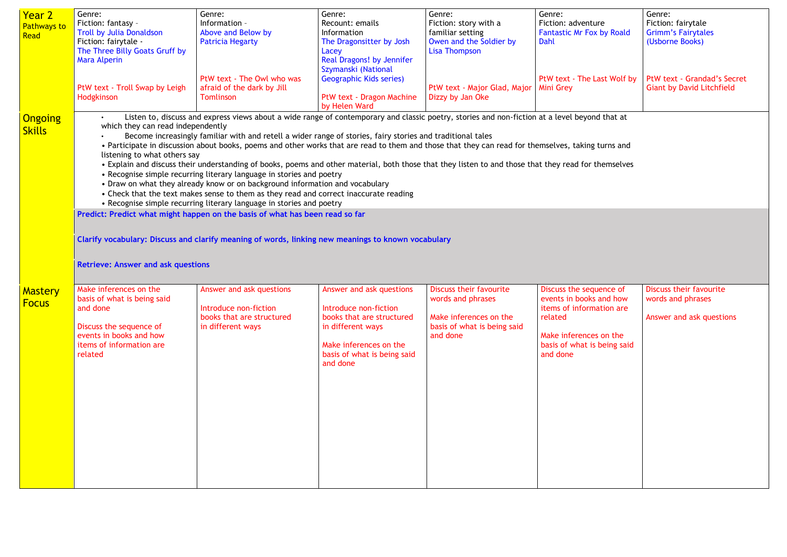| Year 2<br><b>Pathways to</b><br>Read | Genre:<br>Fiction: fantasy -<br><b>Troll by Julia Donaldson</b><br>Fiction: fairytale -<br>The Three Billy Goats Gruff by<br><b>Mara Alperin</b>                                                                                                                                                                                                                                                                                                                                                                                                                                                                                                                                                                                                                                                                                                                                                                                                                        | Genre:<br>Information -<br>Above and Below by<br><b>Patricia Hegarty</b>                            | Genre:<br>Recount: emails<br>Information<br>The Dragonsitter by Josh<br>Lacey<br>Real Dragons! by Jennifer<br>Szymanski (National                            | Genre:<br>Fiction: story with a<br>familiar setting<br>Owen and the Soldier by<br><b>Lisa Thompson</b> | Genre:<br>Fiction: adventure<br><b>Fantastic Mr Fox by Roald</b><br><b>Dahl</b>                                                                                |  |  |  |
|--------------------------------------|-------------------------------------------------------------------------------------------------------------------------------------------------------------------------------------------------------------------------------------------------------------------------------------------------------------------------------------------------------------------------------------------------------------------------------------------------------------------------------------------------------------------------------------------------------------------------------------------------------------------------------------------------------------------------------------------------------------------------------------------------------------------------------------------------------------------------------------------------------------------------------------------------------------------------------------------------------------------------|-----------------------------------------------------------------------------------------------------|--------------------------------------------------------------------------------------------------------------------------------------------------------------|--------------------------------------------------------------------------------------------------------|----------------------------------------------------------------------------------------------------------------------------------------------------------------|--|--|--|
|                                      | PtW text - Troll Swap by Leigh<br>Hodgkinson                                                                                                                                                                                                                                                                                                                                                                                                                                                                                                                                                                                                                                                                                                                                                                                                                                                                                                                            | PtW text - The Owl who was<br>afraid of the dark by Jill<br><b>Tomlinson</b>                        | <b>Geographic Kids series)</b><br>PtW text - Dragon Machine<br>by Helen Ward                                                                                 | PtW text - Major Glad, Major<br>Dizzy by Jan Oke                                                       | PtW text - The Last Wolf by<br><b>Mini Grey</b>                                                                                                                |  |  |  |
| <b>Ongoing</b><br><b>Skills</b>      | Listen to, discuss and express views about a wide range of contemporary and classic poetry, stories and non-fiction at a level beyond that at<br>which they can read independently<br>Become increasingly familiar with and retell a wider range of stories, fairy stories and traditional tales<br>• Participate in discussion about books, poems and other works that are read to them and those that they can read for themselves, taking turns and<br>listening to what others say<br>• Explain and discuss their understanding of books, poems and other material, both those that they listen to and those that they read for themselves<br>• Recognise simple recurring literary language in stories and poetry<br>• Draw on what they already know or on background information and vocabulary<br>• Check that the text makes sense to them as they read and correct inaccurate reading<br>• Recognise simple recurring literary language in stories and poetry |                                                                                                     |                                                                                                                                                              |                                                                                                        |                                                                                                                                                                |  |  |  |
|                                      |                                                                                                                                                                                                                                                                                                                                                                                                                                                                                                                                                                                                                                                                                                                                                                                                                                                                                                                                                                         | Predict: Predict what might happen on the basis of what has been read so far                        |                                                                                                                                                              |                                                                                                        |                                                                                                                                                                |  |  |  |
|                                      | <b>Retrieve: Answer and ask questions</b>                                                                                                                                                                                                                                                                                                                                                                                                                                                                                                                                                                                                                                                                                                                                                                                                                                                                                                                               | Clarify vocabulary: Discuss and clarify meaning of words, linking new meanings to known vocabulary  |                                                                                                                                                              |                                                                                                        |                                                                                                                                                                |  |  |  |
|                                      |                                                                                                                                                                                                                                                                                                                                                                                                                                                                                                                                                                                                                                                                                                                                                                                                                                                                                                                                                                         |                                                                                                     |                                                                                                                                                              | <b>Discuss their favourite</b>                                                                         |                                                                                                                                                                |  |  |  |
| <b>Mastery</b><br><b>Focus</b>       | Make inferences on the<br>basis of what is being said<br>and done<br>Discuss the sequence of<br>events in books and how<br>items of information are<br>related                                                                                                                                                                                                                                                                                                                                                                                                                                                                                                                                                                                                                                                                                                                                                                                                          | Answer and ask questions<br>Introduce non-fiction<br>books that are structured<br>in different ways | Answer and ask questions<br>Introduce non-fiction<br>books that are structured<br>in different ways<br>Make inferences on the<br>basis of what is being said | words and phrases<br>Make inferences on the<br>basis of what is being said<br>and done                 | Discuss the sequence of<br>events in books and how<br>items of information are<br>related<br>Make inferences on the<br>basis of what is being said<br>and done |  |  |  |
|                                      |                                                                                                                                                                                                                                                                                                                                                                                                                                                                                                                                                                                                                                                                                                                                                                                                                                                                                                                                                                         |                                                                                                     | and done                                                                                                                                                     |                                                                                                        |                                                                                                                                                                |  |  |  |

| ure<br>x by Roald                  | Genre:<br>Fiction: fairytale<br><b>Grimm's Fairytales</b><br>(Usborne Books) |
|------------------------------------|------------------------------------------------------------------------------|
| Last Wolf by                       | PtW text - Grandad's Secret<br><b>Giant by David Litchfield</b>              |
| d that at                          |                                                                              |
| turns and                          |                                                                              |
| themselves                         |                                                                              |
|                                    |                                                                              |
|                                    |                                                                              |
|                                    |                                                                              |
|                                    |                                                                              |
|                                    |                                                                              |
| uence of<br>s and how<br>ation are | <b>Discuss their favourite</b><br>words and phrases                          |
|                                    | Answer and ask questions                                                     |
| s on the<br>being said             |                                                                              |
|                                    |                                                                              |
|                                    |                                                                              |
|                                    |                                                                              |
|                                    |                                                                              |
|                                    |                                                                              |
|                                    |                                                                              |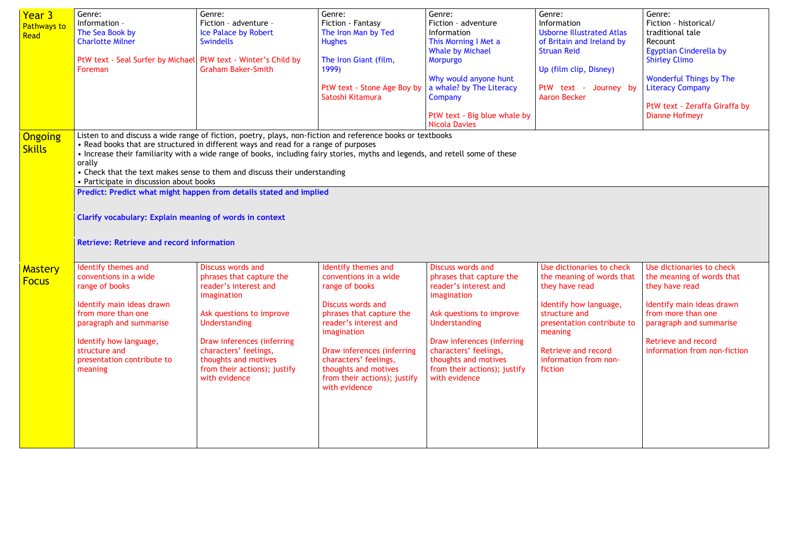| <b>Year 3</b><br><b>Pathways to</b><br>Read | Genre:<br>Information -<br>The Sea Book by<br><b>Charlotte Milner</b><br>PtW text - Seal Surfer by Michael PtW text - Winter's Child by<br>Foreman                                                                                                                                                                                                                                                                                                                                                                                                                                                                                                               | Genre:<br>Fiction - adventure -<br>Ice Palace by Robert<br><b>Swindells</b><br><b>Graham Baker-Smith</b>                                                                                                                                                                  | Genre:<br>Fiction - Fantasy<br>The Iron Man by Ted<br><b>Hughes</b><br>The Iron Giant (film,<br>1999)<br>PtW text - Stone Age Boy by<br>Satoshi Kitamura                                                                                                                                | Genre:<br>Fiction - adventure<br>Information<br>This Morning I Met a<br><b>Whale by Michael</b><br>Morpurgo<br>Why would anyone hunt<br>a whale? by The Literacy<br>Company<br>PtW text - Big blue whale by<br><b>Nicola Davies</b>                                              | Genre:<br>Information<br><b>Usborne Illustrated Atlas</b><br>of Britain and Ireland by<br><b>Struan Reid</b><br>Up (film clip, Disney)<br>PtW text - Journey by<br><b>Aaron Becker</b>                                  | Genre:<br>Fiction - historical/<br>traditional tale<br>Recount<br>Egyptian Cinderella by<br><b>Shirley Climo</b><br><b>Wonderful Things by The</b><br><b>Literacy Company</b><br>PtW text - Zeraffa Giraffa by<br><b>Dianne Hofmeyr</b> |
|---------------------------------------------|------------------------------------------------------------------------------------------------------------------------------------------------------------------------------------------------------------------------------------------------------------------------------------------------------------------------------------------------------------------------------------------------------------------------------------------------------------------------------------------------------------------------------------------------------------------------------------------------------------------------------------------------------------------|---------------------------------------------------------------------------------------------------------------------------------------------------------------------------------------------------------------------------------------------------------------------------|-----------------------------------------------------------------------------------------------------------------------------------------------------------------------------------------------------------------------------------------------------------------------------------------|----------------------------------------------------------------------------------------------------------------------------------------------------------------------------------------------------------------------------------------------------------------------------------|-------------------------------------------------------------------------------------------------------------------------------------------------------------------------------------------------------------------------|-----------------------------------------------------------------------------------------------------------------------------------------------------------------------------------------------------------------------------------------|
| <b>Ongoing</b><br><b>Skills</b>             | Listen to and discuss a wide range of fiction, poetry, plays, non-fiction and reference books or textbooks<br>• Read books that are structured in different ways and read for a range of purposes<br>• Increase their familiarity with a wide range of books, including fairy stories, myths and legends, and retell some of these<br>orally<br>• Check that the text makes sense to them and discuss their understanding<br>• Participate in discussion about books<br>Predict: Predict what might happen from details stated and implied<br><b>Clarify vocabulary: Explain meaning of words in context</b><br><b>Retrieve: Retrieve and record information</b> |                                                                                                                                                                                                                                                                           |                                                                                                                                                                                                                                                                                         |                                                                                                                                                                                                                                                                                  |                                                                                                                                                                                                                         |                                                                                                                                                                                                                                         |
| <b>Mastery</b><br><b>Focus</b>              | Identify themes and<br>conventions in a wide<br>range of books<br>Identify main ideas drawn<br>from more than one<br>paragraph and summarise<br>Identify how language,<br>structure and<br>presentation contribute to<br>meaning                                                                                                                                                                                                                                                                                                                                                                                                                                 | <b>Discuss words and</b><br>phrases that capture the<br>reader's interest and<br>imagination<br>Ask questions to improve<br>Understanding<br>Draw inferences (inferring<br>characters' feelings,<br>thoughts and motives<br>from their actions); justify<br>with evidence | Identify themes and<br>conventions in a wide<br>range of books<br>Discuss words and<br>phrases that capture the<br>reader's interest and<br>imagination<br>Draw inferences (inferring<br>characters' feelings,<br>thoughts and motives<br>from their actions); justify<br>with evidence | <b>Discuss words and</b><br>phrases that capture the<br>reader's interest and<br>imagination<br>Ask questions to improve<br><b>Understanding</b><br>Draw inferences (inferring<br>characters' feelings,<br>thoughts and motives<br>from their actions); justify<br>with evidence | Use dictionaries to check<br>the meaning of words that<br>they have read<br>Identify how language,<br>structure and<br>presentation contribute to<br>meaning<br>Retrieve and record<br>information from non-<br>fiction | Use dictionaries to check<br>the meaning of words that<br>they have read<br>Identify main ideas drawn<br>from more than one<br>paragraph and summarise<br>Retrieve and record<br>information from non-fiction                           |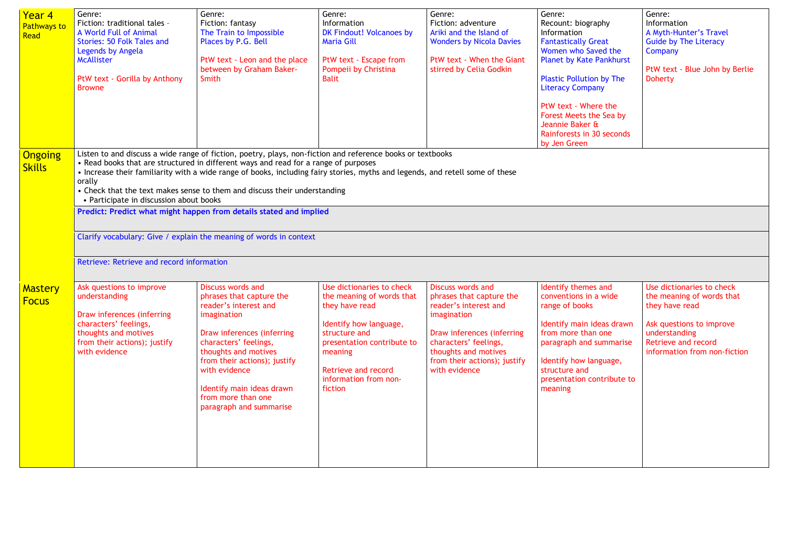| Year 4<br><b>Pathways to</b><br>Read | Genre:<br>Fiction: traditional tales -<br>A World Full of Animal<br>Stories: 50 Folk Tales and<br>Legends by Angela<br><b>McAllister</b><br>PtW text - Gorilla by Anthony<br><b>Browne</b>                                                                                                                                                                                                                                                                                                                                                                                                                                                                    | Genre:<br>Fiction: fantasy<br>The Train to Impossible<br>Places by P.G. Bell<br>PtW text - Leon and the place<br>between by Graham Baker-<br>Smith                                                                                                                                                  | Genre:<br>Information<br>DK Findout! Volcanoes by<br><b>Maria Gill</b><br>PtW text - Escape from<br>Pompeii by Christina<br><b>Balit</b>                                                                                       | Genre:<br>Fiction: adventure<br>Ariki and the Island of<br><b>Wonders by Nicola Davies</b><br>PtW text - When the Giant<br>stirred by Celia Godkin                                                                           | Genre:<br>Recount: biography<br>Information<br><b>Fantastically Great</b><br>Women who Saved the<br><b>Planet by Kate Pankhurst</b><br><b>Plastic Pollution by The</b><br><b>Literacy Company</b><br>PtW text - Where the<br>Forest Meets the Sea by<br>Jeannie Baker &<br>Rainforests in 30 seconds<br>by Jen Green | Genre:<br>Information<br>A Myth-Hunter's Travel<br><b>Guide by The Literacy</b><br>Company<br>PtW text - Blue John by Berlie<br><b>Doherty</b>                               |  |
|--------------------------------------|---------------------------------------------------------------------------------------------------------------------------------------------------------------------------------------------------------------------------------------------------------------------------------------------------------------------------------------------------------------------------------------------------------------------------------------------------------------------------------------------------------------------------------------------------------------------------------------------------------------------------------------------------------------|-----------------------------------------------------------------------------------------------------------------------------------------------------------------------------------------------------------------------------------------------------------------------------------------------------|--------------------------------------------------------------------------------------------------------------------------------------------------------------------------------------------------------------------------------|------------------------------------------------------------------------------------------------------------------------------------------------------------------------------------------------------------------------------|----------------------------------------------------------------------------------------------------------------------------------------------------------------------------------------------------------------------------------------------------------------------------------------------------------------------|------------------------------------------------------------------------------------------------------------------------------------------------------------------------------|--|
| Ongoing<br><b>Skills</b>             | Listen to and discuss a wide range of fiction, poetry, plays, non-fiction and reference books or textbooks<br>• Read books that are structured in different ways and read for a range of purposes<br>• Increase their familiarity with a wide range of books, including fairy stories, myths and legends, and retell some of these<br>orally<br>• Check that the text makes sense to them and discuss their understanding<br>• Participate in discussion about books<br>Predict: Predict what might happen from details stated and implied<br>Clarify vocabulary: Give / explain the meaning of words in context<br>Retrieve: Retrieve and record information |                                                                                                                                                                                                                                                                                                     |                                                                                                                                                                                                                                |                                                                                                                                                                                                                              |                                                                                                                                                                                                                                                                                                                      |                                                                                                                                                                              |  |
| <b>Mastery</b><br><b>Focus</b>       | Ask questions to improve<br>understanding<br>Draw inferences (inferring<br>characters' feelings,<br>thoughts and motives<br>from their actions); justify<br>with evidence                                                                                                                                                                                                                                                                                                                                                                                                                                                                                     | Discuss words and<br>phrases that capture the<br>reader's interest and<br>imagination<br>Draw inferences (inferring<br>characters' feelings,<br>thoughts and motives<br>from their actions); justify<br>with evidence<br>Identify main ideas drawn<br>from more than one<br>paragraph and summarise | Use dictionaries to check<br>the meaning of words that<br>they have read<br>Identify how language,<br>structure and<br>presentation contribute to<br>meaning<br><b>Retrieve and record</b><br>information from non-<br>fiction | <b>Discuss words and</b><br>phrases that capture the<br>reader's interest and<br>imagination<br>Draw inferences (inferring<br>characters' feelings,<br>thoughts and motives<br>from their actions); justify<br>with evidence | Identify themes and<br>conventions in a wide<br>range of books<br>Identify main ideas drawn<br>from more than one<br>paragraph and summarise<br>Identify how language,<br>structure and<br>presentation contribute to<br>meaning                                                                                     | Use dictionaries to check<br>the meaning of words that<br>they have read<br>Ask questions to improve<br>understanding<br>Retrieve and record<br>information from non-fiction |  |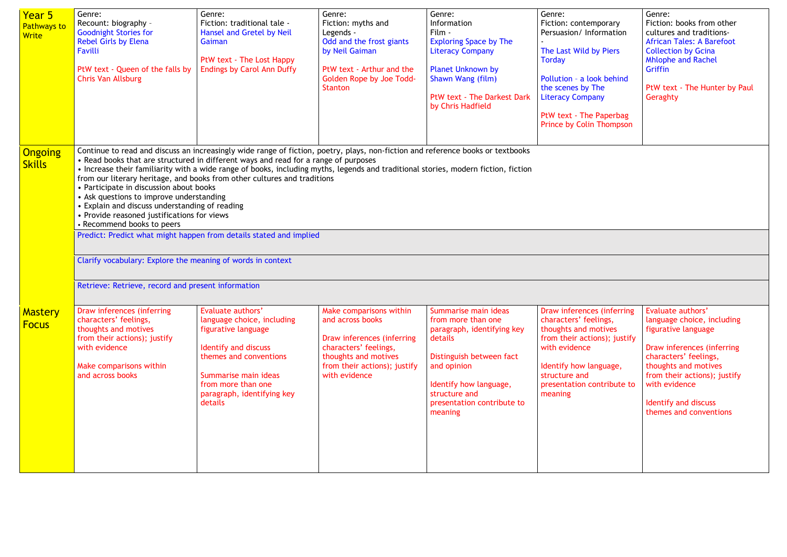| Year 5<br><b>Pathways to</b><br><b>Write</b> | Genre:<br>Recount: biography -<br><b>Goodnight Stories for</b><br><b>Rebel Girls by Elena</b><br>Favilli<br>PtW text - Queen of the falls by<br>Chris Van Allsburg                                                                                                                                                                                                                                                                                                                                                                                                                                                                                                                                                                                                                                                                                        | Genre:<br>Fiction: traditional tale -<br>Hansel and Gretel by Neil<br>Gaiman<br>PtW text - The Lost Happy<br><b>Endings by Carol Ann Duffy</b>                                                                         | Genre:<br>Fiction: myths and<br>Legends -<br>Odd and the frost giants<br>by Neil Gaiman<br>PtW text - Arthur and the<br>Golden Rope by Joe Todd-<br><b>Stanton</b>          | Genre:<br>Information<br>Film -<br><b>Exploring Space by The</b><br><b>Literacy Company</b><br><b>Planet Unknown by</b><br>Shawn Wang (film)<br>PtW text - The Darkest Dark<br>by Chris Hadfield                   | Genre:<br>Fiction: contemporary<br>Persuasion/Information<br>The Last Wild by Piers<br><b>Torday</b><br>Pollution - a look behind<br>the scenes by The<br><b>Literacy Company</b><br>PtW text - The Paperbag<br>Prince by Colin Thompson | Genre:<br>Fiction: books from other<br>cultures and traditions-<br><b>African Tales: A Barefoot</b><br><b>Collection by Gcina</b><br><b>Mhlophe and Rachel</b><br>Griffin<br>PtW text - The Hunter by Paul<br>Geraghty                                   |
|----------------------------------------------|-----------------------------------------------------------------------------------------------------------------------------------------------------------------------------------------------------------------------------------------------------------------------------------------------------------------------------------------------------------------------------------------------------------------------------------------------------------------------------------------------------------------------------------------------------------------------------------------------------------------------------------------------------------------------------------------------------------------------------------------------------------------------------------------------------------------------------------------------------------|------------------------------------------------------------------------------------------------------------------------------------------------------------------------------------------------------------------------|-----------------------------------------------------------------------------------------------------------------------------------------------------------------------------|--------------------------------------------------------------------------------------------------------------------------------------------------------------------------------------------------------------------|------------------------------------------------------------------------------------------------------------------------------------------------------------------------------------------------------------------------------------------|----------------------------------------------------------------------------------------------------------------------------------------------------------------------------------------------------------------------------------------------------------|
| <b>Ongoing</b><br><b>Skills</b>              | Continue to read and discuss an increasingly wide range of fiction, poetry, plays, non-fiction and reference books or textbooks<br>• Read books that are structured in different ways and read for a range of purposes<br>• Increase their familiarity with a wide range of books, including myths, legends and traditional stories, modern fiction, fiction<br>from our literary heritage, and books from other cultures and traditions<br>• Participate in discussion about books<br>• Ask questions to improve understanding<br>• Explain and discuss understanding of reading<br>• Provide reasoned justifications for views<br>• Recommend books to peers<br>Predict: Predict what might happen from details stated and implied<br>Clarify vocabulary: Explore the meaning of words in context<br>Retrieve: Retrieve, record and present information |                                                                                                                                                                                                                        |                                                                                                                                                                             |                                                                                                                                                                                                                    |                                                                                                                                                                                                                                          |                                                                                                                                                                                                                                                          |
| Mastery<br><b>Focus</b>                      | Draw inferences (inferring<br>characters' feelings,<br>thoughts and motives<br>from their actions); justify<br>with evidence<br>Make comparisons within<br>and across books                                                                                                                                                                                                                                                                                                                                                                                                                                                                                                                                                                                                                                                                               | Evaluate authors'<br>language choice, including<br>figurative language<br><b>Identify and discuss</b><br>themes and conventions<br>Summarise main ideas<br>from more than one<br>paragraph, identifying key<br>details | Make comparisons within<br>and across books<br>Draw inferences (inferring<br>characters' feelings,<br>thoughts and motives<br>from their actions); justify<br>with evidence | Summarise main ideas<br>from more than one<br>paragraph, identifying key<br>details<br>Distinguish between fact<br>and opinion<br>Identify how language,<br>structure and<br>presentation contribute to<br>meaning | Draw inferences (inferring<br>characters' feelings,<br>thoughts and motives<br>from their actions); justify<br>with evidence<br>Identify how language,<br>structure and<br>presentation contribute to<br>meaning                         | Evaluate authors'<br>language choice, including<br>figurative language<br>Draw inferences (inferring<br>characters' feelings,<br>thoughts and motives<br>from their actions); justify<br>with evidence<br>Identify and discuss<br>themes and conventions |